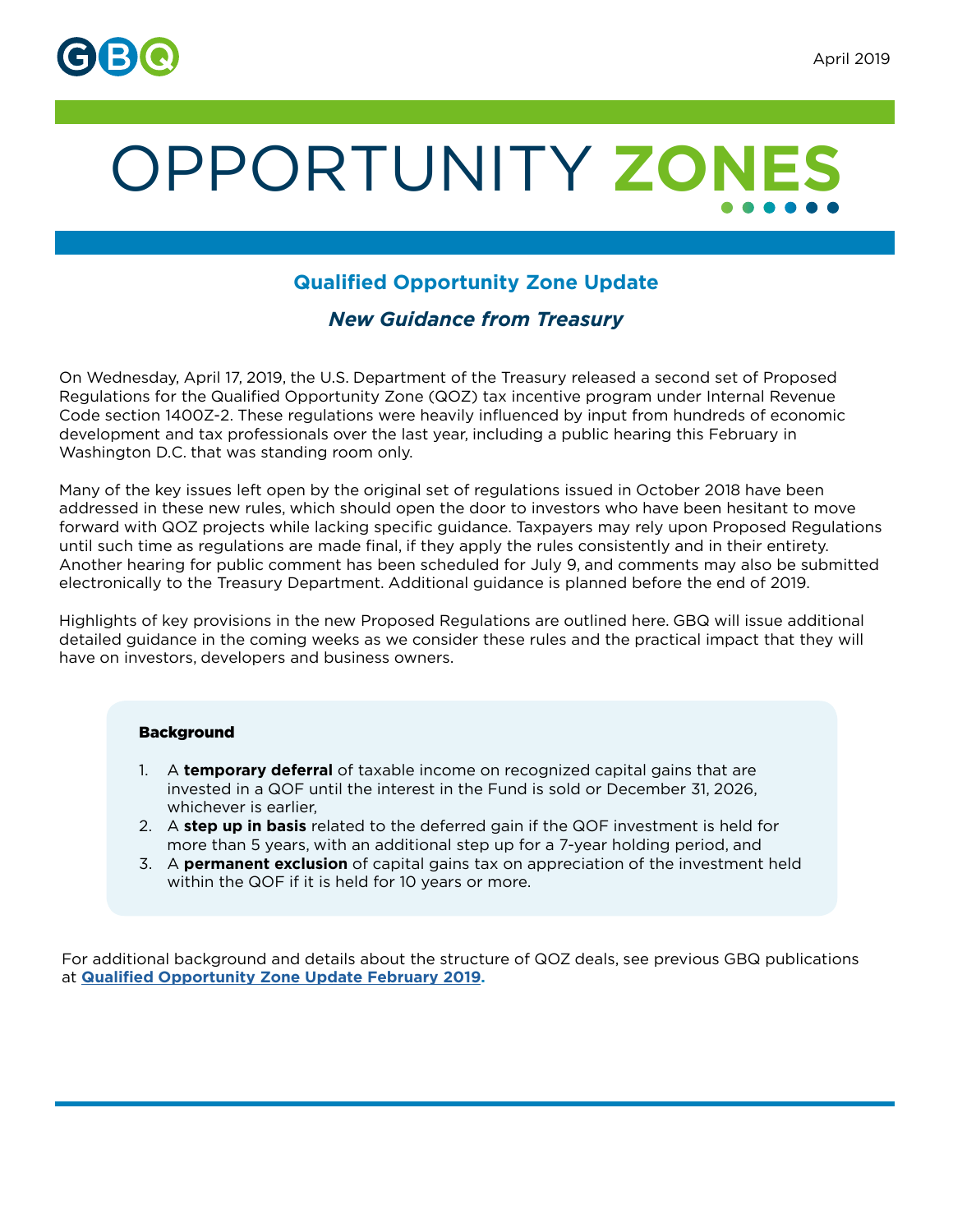

# OPPORTUNITY **ZONES**

# **Qualified Opportunity Zone Update**

## *New Guidance from Treasury*

On Wednesday, April 17, 2019, the U.S. Department of the Treasury released a second set of Proposed Regulations for the Qualified Opportunity Zone (QOZ) tax incentive program under Internal Revenue Code section 1400Z-2. These regulations were heavily influenced by input from hundreds of economic development and tax professionals over the last year, including a public hearing this February in Washington D.C. that was standing room only.

Many of the key issues left open by the original set of regulations issued in October 2018 have been addressed in these new rules, which should open the door to investors who have been hesitant to move forward with QOZ projects while lacking specific guidance. Taxpayers may rely upon Proposed Regulations until such time as regulations are made final, if they apply the rules consistently and in their entirety. Another hearing for public comment has been scheduled for July 9, and comments may also be submitted electronically to the Treasury Department. Additional guidance is planned before the end of 2019.

Highlights of key provisions in the new Proposed Regulations are outlined here. GBQ will issue additional detailed guidance in the coming weeks as we consider these rules and the practical impact that they will have on investors, developers and business owners.

## Background

- 1. A **temporary deferral** of taxable income on recognized capital gains that are invested in a QOF until the interest in the Fund is sold or December 31, 2026, whichever is earlier,
- 2. A **step up in basis** related to the deferred gain if the QOF investment is held for more than 5 years, with an additional step up for a 7-year holding period, and
- 3. A **permanent exclusion** of capital gains tax on appreciation of the investment held within the QOF if it is held for 10 years or more.

For additional background and details about the structure of QOZ deals, see previous GBQ publications at **[Qualified Opportunity Zone Update February 2019](https://gbq.com/qualified-opportunity-zone-update-february-2019/).**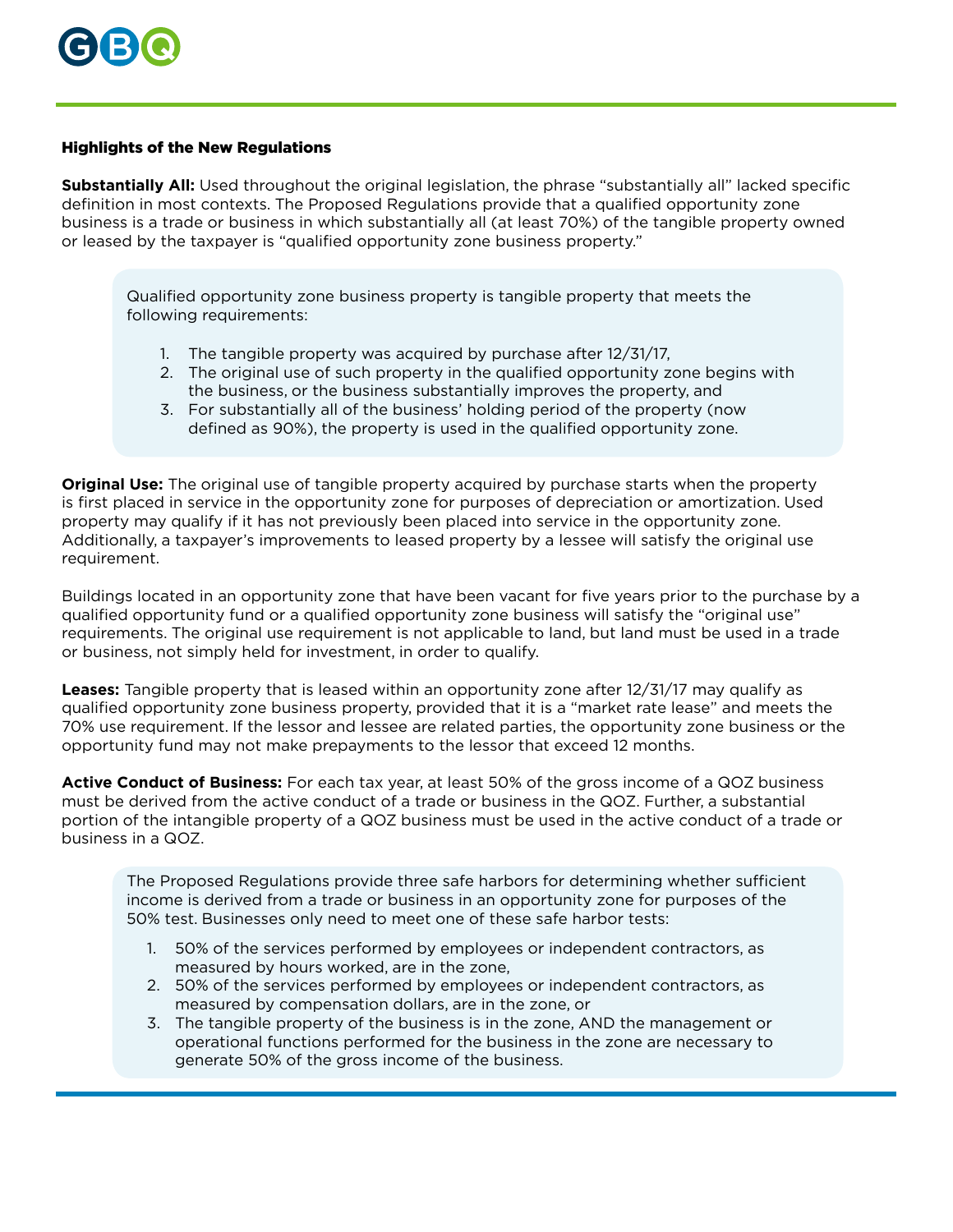

### Highlights of the New Regulations

**Substantially All:** Used throughout the original legislation, the phrase "substantially all" lacked specific definition in most contexts. The Proposed Regulations provide that a qualified opportunity zone business is a trade or business in which substantially all (at least 70%) of the tangible property owned or leased by the taxpayer is "qualified opportunity zone business property."

Qualified opportunity zone business property is tangible property that meets the following requirements:

- 1. The tangible property was acquired by purchase after 12/31/17,
- 2. The original use of such property in the qualified opportunity zone begins with the business, or the business substantially improves the property, and
- 3. For substantially all of the business' holding period of the property (now defined as 90%), the property is used in the qualified opportunity zone.

**Original Use:** The original use of tangible property acquired by purchase starts when the property is first placed in service in the opportunity zone for purposes of depreciation or amortization. Used property may qualify if it has not previously been placed into service in the opportunity zone. Additionally, a taxpayer's improvements to leased property by a lessee will satisfy the original use requirement.

Buildings located in an opportunity zone that have been vacant for five years prior to the purchase by a qualified opportunity fund or a qualified opportunity zone business will satisfy the "original use" requirements. The original use requirement is not applicable to land, but land must be used in a trade or business, not simply held for investment, in order to qualify.

**Leases:** Tangible property that is leased within an opportunity zone after 12/31/17 may qualify as qualified opportunity zone business property, provided that it is a "market rate lease" and meets the 70% use requirement. If the lessor and lessee are related parties, the opportunity zone business or the opportunity fund may not make prepayments to the lessor that exceed 12 months.

**Active Conduct of Business:** For each tax year, at least 50% of the gross income of a QOZ business must be derived from the active conduct of a trade or business in the QOZ. Further, a substantial portion of the intangible property of a QOZ business must be used in the active conduct of a trade or business in a QOZ.

The Proposed Regulations provide three safe harbors for determining whether sufficient income is derived from a trade or business in an opportunity zone for purposes of the 50% test. Businesses only need to meet one of these safe harbor tests:

- 1. 50% of the services performed by employees or independent contractors, as measured by hours worked, are in the zone,
- 2. 50% of the services performed by employees or independent contractors, as measured by compensation dollars, are in the zone, or
- 3. The tangible property of the business is in the zone, AND the management or operational functions performed for the business in the zone are necessary to generate 50% of the gross income of the business.